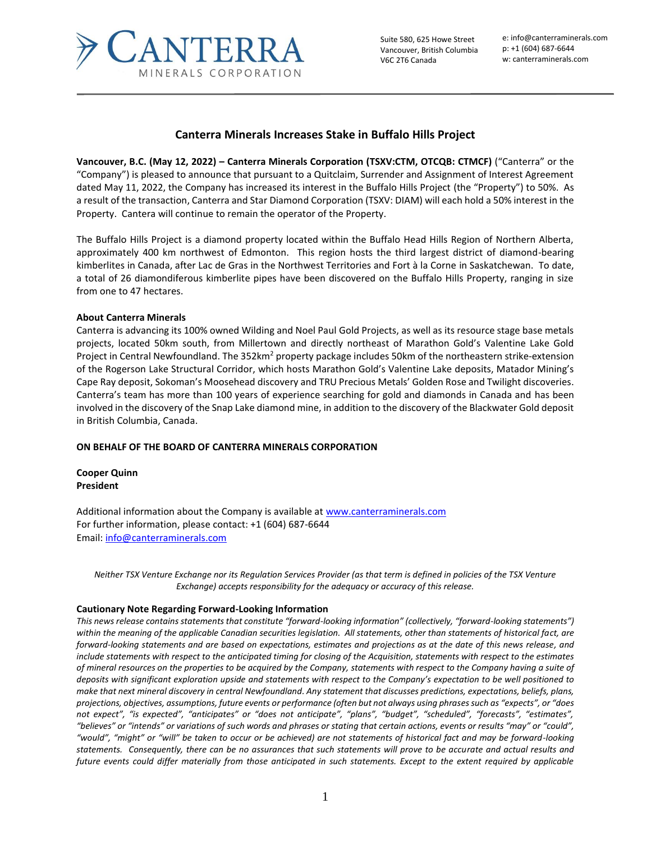

## **Canterra Minerals Increases Stake in Buffalo Hills Project**

**Vancouver, B.C. (May 12, 2022) – Canterra Minerals Corporation (TSXV:CTM, OTCQB: CTMCF)** ("Canterra" or the "Company") is pleased to announce that pursuant to a Quitclaim, Surrender and Assignment of Interest Agreement dated May 11, 2022, the Company has increased its interest in the Buffalo Hills Project (the "Property") to 50%. As a result of the transaction, Canterra and Star Diamond Corporation (TSXV: DIAM) will each hold a 50% interest in the Property. Cantera will continue to remain the operator of the Property.

The Buffalo Hills Project is a diamond property located within the Buffalo Head Hills Region of Northern Alberta, approximately 400 km northwest of Edmonton. This region hosts the third largest district of diamond-bearing kimberlites in Canada, after Lac de Gras in the Northwest Territories and Fort à la Corne in Saskatchewan. To date, a total of 26 diamondiferous kimberlite pipes have been discovered on the Buffalo Hills Property, ranging in size from one to 47 hectares.

## **About Canterra Minerals**

Canterra is advancing its 100% owned Wilding and Noel Paul Gold Projects, as well as its resource stage base metals projects, located 50km south, from Millertown and directly northeast of Marathon Gold's Valentine Lake Gold Project in Central Newfoundland. The 352km<sup>2</sup> property package includes 50km of the northeastern strike-extension of the Rogerson Lake Structural Corridor, which hosts Marathon Gold's Valentine Lake deposits, Matador Mining's Cape Ray deposit, Sokoman's Moosehead discovery and TRU Precious Metals' Golden Rose and Twilight discoveries. Canterra's team has more than 100 years of experience searching for gold and diamonds in Canada and has been involved in the discovery of the Snap Lake diamond mine, in addition to the discovery of the Blackwater Gold deposit in British Columbia, Canada.

## **ON BEHALF OF THE BOARD OF CANTERRA MINERALS CORPORATION**

**Cooper Quinn President**

Additional information about the Company is available a[t www.canterraminerals.com](http://www.canterraminerals.com/s/Home.asp) For further information, please contact: +1 (604) 687-6644 Email: [info@canterraminerals.com](mailto:info@canterraminerals.com)

*Neither TSX Venture Exchange nor its Regulation Services Provider (as that term is defined in policies of the TSX Venture Exchange) accepts responsibility for the adequacy or accuracy of this release.*

## **Cautionary Note Regarding Forward-Looking Information**

*This news release contains statements that constitute "forward-looking information" (collectively, "forward-looking statements") within the meaning of the applicable Canadian securities legislation. All statements, other than statements of historical fact, are forward-looking statements and are based on expectations, estimates and projections as at the date of this news release, and include statements with respect to the anticipated timing for closing of the Acquisition, statements with respect to the estimates of mineral resources on the properties to be acquired by the Company, statements with respect to the Company having a suite of deposits with significant exploration upside and statements with respect to the Company's expectation to be well positioned to make that next mineral discovery in central Newfoundland. Any statement that discusses predictions, expectations, beliefs, plans, projections, objectives, assumptions, future events or performance (often but not always using phrases such as "expects", or "does not expect", "is expected", "anticipates" or "does not anticipate", "plans", "budget", "scheduled", "forecasts", "estimates", "believes" or "intends" or variations of such words and phrases or stating that certain actions, events or results "may" or "could", "would", "might" or "will" be taken to occur or be achieved) are not statements of historical fact and may be forward-looking statements. Consequently, there can be no assurances that such statements will prove to be accurate and actual results and future events could differ materially from those anticipated in such statements. Except to the extent required by applicable*